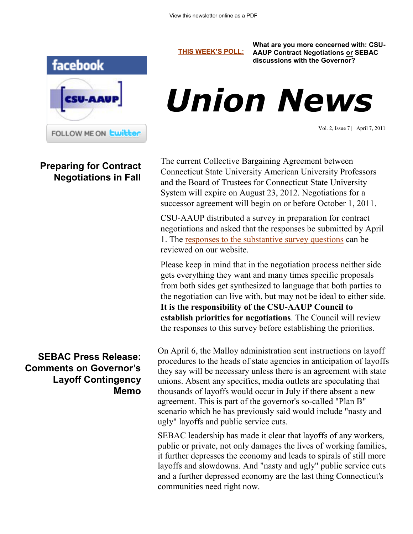

## **Preparing for Contract Negotiations in Fall**

## **SEBAC Press Release: Comments on Governor's Layoff Contingency Memo**

**[THIS WEEK'S POLL:](http://www.csuaaup.org/)**

**What are you more concerned with: CSU-AAUP Contract Negotiations or SEBAC discussions with the Governor?**



Vol. 2, Issue 7 | April 7, 2011

The current Collective Bargaining Agreement between Connecticut State University American University Professors and the Board of Trustees for Connecticut State University System will expire on August 23, 2012. Negotiations for a successor agreement will begin on or before October 1, 2011.

CSU-AAUP distributed a survey in preparation for contract negotiations and asked that the responses be submitted by April 1. The [responses to the substantive survey questions](http://www.csuaaup.org/?page_id=1535) can be reviewed on our website.

Please keep in mind that in the negotiation process neither side gets everything they want and many times specific proposals from both sides get synthesized to language that both parties to the negotiation can live with, but may not be ideal to either side. **It is the responsibility of the CSU-AAUP Council to establish priorities for negotiations**. The Council will review the responses to this survey before establishing the priorities.

On April 6, the Malloy administration sent instructions on layoff procedures to the heads of state agencies in anticipation of layoffs they say will be necessary unless there is an agreement with state unions. Absent any specifics, media outlets are speculating that thousands of layoffs would occur in July if there absent a new agreement. This is part of the governor's so-called "Plan B" scenario which he has previously said would include "nasty and ugly" layoffs and public service cuts.

SEBAC leadership has made it clear that layoffs of any workers, public or private, not only damages the lives of working families, it further depresses the economy and leads to spirals of still more layoffs and slowdowns. And "nasty and ugly" public service cuts and a further depressed economy are the last thing Connecticut's communities need right now.